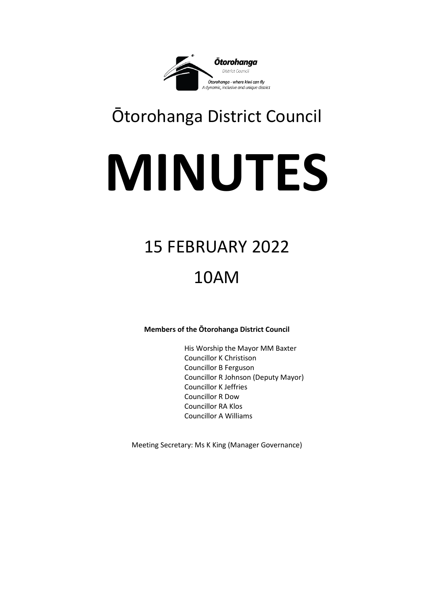

# Ōtorohanga District Council

# **MINUTES**

# 15 FEBRUARY 2022

# 10AM

# **Members of the Ōtorohanga District Council**

His Worship the Mayor MM Baxter Councillor K Christison Councillor B Ferguson Councillor R Johnson (Deputy Mayor) Councillor K Jeffries Councillor R Dow Councillor RA Klos Councillor A Williams

Meeting Secretary: Ms K King (Manager Governance)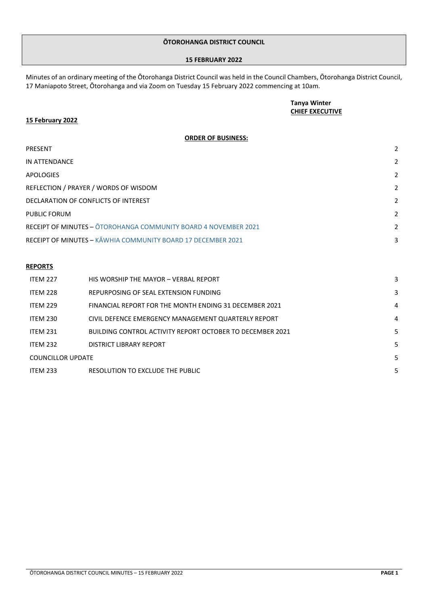#### **ŌTOROHANGA DISTRICT COUNCIL**

#### **15 FEBRUARY 2022**

Minutes of an ordinary meeting of the Ōtorohanga District Council was held in the Council Chambers, Ōtorohanga District Council, 17 Maniapoto Street, Ōtorohanga and via Zoom on Tuesday 15 February 2022 commencing at 10am.

## **Tanya Winter CHIEF EXECUTIVE**

#### **15 February 2022**

## **ORDER OF BUSINESS:**

| <b>PRESENT</b>                                                         |                |
|------------------------------------------------------------------------|----------------|
| IN ATTENDANCE                                                          | 2              |
| <b>APOLOGIES</b>                                                       | 2              |
| REFLECTION / PRAYER / WORDS OF WISDOM                                  | 2              |
| DECLARATION OF CONFLICTS OF INTEREST                                   | 2              |
| <b>PUBLIC FORUM</b>                                                    | $\overline{2}$ |
| <b>RECEIPT OF MINUTES - OTOROHANGA COMMUNITY BOARD 4 NOVEMBER 2021</b> | $\overline{2}$ |
| <b>RECEIPT OF MINUTES - KAWHIA COMMUNITY BOARD 17 DECEMBER 2021</b>    | 3              |

## **REPORTS**

| <b>ITFM 227</b>          | HIS WORSHIP THE MAYOR - VERBAL REPORT                     |   |
|--------------------------|-----------------------------------------------------------|---|
| <b>ITEM 228</b>          | REPURPOSING OF SEAL EXTENSION FUNDING                     |   |
| <b>ITFM 229</b>          | FINANCIAL REPORT FOR THE MONTH ENDING 31 DECEMBER 2021    | 4 |
| <b>ITEM 230</b>          | CIVIL DEFENCE EMERGENCY MANAGEMENT QUARTERLY REPORT       | 4 |
| <b>ITEM 231</b>          | BUILDING CONTROL ACTIVITY REPORT OCTOBER TO DECEMBER 2021 |   |
| <b>ITEM 232</b>          | DISTRICT LIBRARY REPORT                                   | 5 |
| <b>COUNCILLOR UPDATE</b> |                                                           |   |
| <b>ITEM 233</b>          | RESOLUTION TO EXCLUDE THE PUBLIC                          | 5 |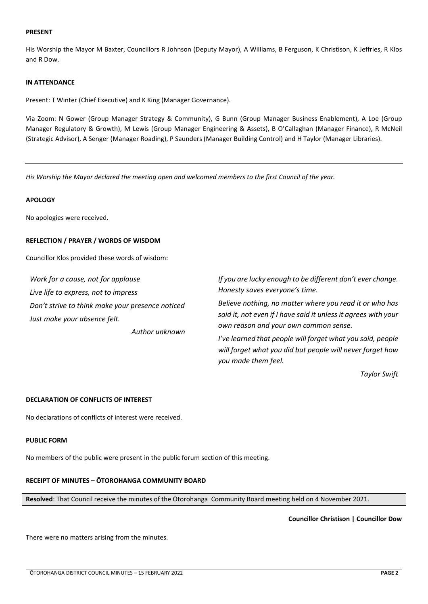#### <span id="page-2-0"></span>**PRESENT**

His Worship the Mayor M Baxter, Councillors R Johnson (Deputy Mayor), A Williams, B Ferguson, K Christison, K Jeffries, R Klos and R Dow.

#### **IN ATTENDANCE**

Present: T Winter (Chief Executive) and K King (Manager Governance).

Via Zoom: N Gower (Group Manager Strategy & Community), G Bunn (Group Manager Business Enablement), A Loe (Group Manager Regulatory & Growth), M Lewis (Group Manager Engineering & Assets), B O'Callaghan (Manager Finance), R McNeil (Strategic Advisor), A Senger (Manager Roading), P Saunders (Manager Building Control) and H Taylor (Manager Libraries).

*His Worship the Mayor declared the meeting open and welcomed members to the first Council of the year.* 

#### **APOLOGY**

No apologies were received.

#### **REFLECTION / PRAYER / WORDS OF WISDOM**

Councillor Klos provided these words of wisdom:

*Work for a cause, not for applause Live life to express, not to impress Don't strive to think make your presence noticed Just make your absence felt.*

*Author unknown*

*If you are lucky enough to be different don't ever change. Honesty saves everyone's time.*

*Believe nothing, no matter where you read it or who has said it, not even if I have said it unless it agrees with your own reason and your own common sense.*

*I've learned that people will forget what you said, people will forget what you did but people will never forget how you made them feel.*

*Taylor Swift*

#### **DECLARATION OF CONFLICTS OF INTEREST**

No declarations of conflicts of interest were received.

#### **PUBLIC FORM**

<span id="page-2-1"></span>No members of the public were present in the public forum section of this meeting.

#### **RECEIPT OF MINUTES – ŌTOROHANGA COMMUNITY BOARD**

**Resolved**: That Council receive the minutes of the Ōtorohanga Community Board meeting held on 4 November 2021.

**Councillor Christison | Councillor Dow**

There were no matters arising from the minutes.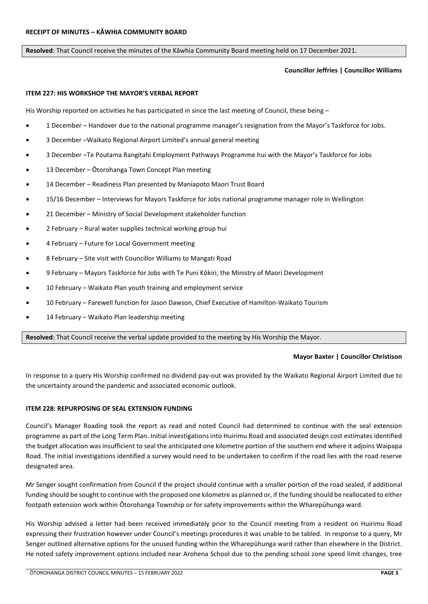#### <span id="page-3-0"></span>**Resolved**: That Council receive the minutes of the Kāwhia Community Board meeting held on 17 December 2021.

#### **Councillor Jeffries | Councillor Williams**

#### <span id="page-3-1"></span>**ITEM 227: HIS WORKSHOP THE MAYOR'S VERBAL REPORT**

His Worship reported on activities he has participated in since the last meeting of Council, these being –

- 1 December Handover due to the national programme manager's resignation from the Mayor's Taskforce for Jobs.
- 3 December –Waikato Regional Airport Limited's annual general meeting
- 3 December –Te Poutama Rangitahi Employment Pathways Programme hui with the Mayor's Taskforce for Jobs
- 13 December Ōtorohanga Town Concept Plan meeting
- 14 December Readiness Plan presented by Maniapoto Maori Trust Board
- 15/16 December Interviews for Mayors Taskforce for Jobs national programme manager role in Wellington
- 21 December Ministry of Social Development stakeholder function
- 2 February Rural water supplies technical working group hui
- 4 February Future for Local Government meeting
- 8 February Site visit with Councillor Williams to Mangati Road
- 9 February Mayors Taskforce for Jobs with Te Puni Kōkiri, the Ministry of Maori Development
- 10 February Waikato Plan youth training and employment service
- 10 February Farewell function for Jason Dawson, Chief Executive of Hamilton-Waikato Tourism
- 14 February Waikato Plan leadership meeting

**Resolved**: That Council receive the verbal update provided to the meeting by His Worship the Mayor.

#### **Mayor Baxter | Councillor Christison**

In response to a query His Worship confirmed no dividend pay-out was provided by the Waikato Regional Airport Limited due to the uncertainty around the pandemic and associated economic outlook.

#### <span id="page-3-2"></span>**ITEM 228: REPURPOSING OF SEAL EXTENSION FUNDING**

Council's Manager Roading took the report as read and noted Council had determined to continue with the seal extension programme as part of the Long Term Plan. Initial investigations into Huirimu Road and associated design cost estimates identified the budget allocation was insufficient to seal the anticipated one kilometre portion of the southern end where it adjoins Waipapa Road. The initial investigations identified a survey would need to be undertaken to confirm if the road lies with the road reserve designated area.

Mr Senger sought confirmation from Council if the project should continue with a smaller portion of the road sealed, if additional funding should be sought to continue with the proposed one kilometre as planned or, if the funding should be reallocated to either footpath extension work within Ōtorohanga Township or for safety improvements within the Wharepūhunga ward.

His Worship advised a letter had been received immediately prior to the Council meeting from a resident on Huirimu Road expressing their frustration however under Council's meetings procedures it was unable to be tabled. In response to a query, Mr Senger outlined alternative options for the unused funding within the Wharepūhunga ward rather than elsewhere in the District. He noted safety improvement options included near Arohena School due to the pending school zone speed limit changes, tree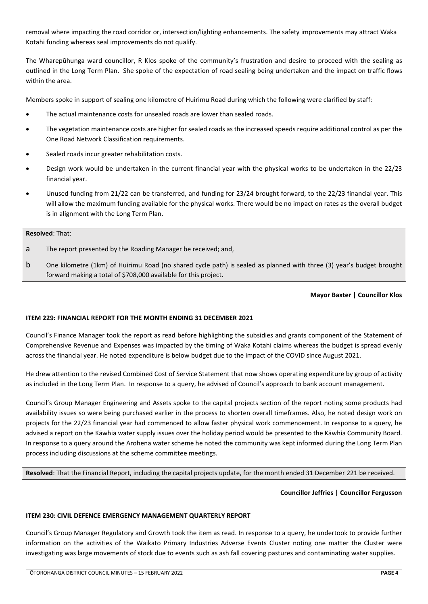removal where impacting the road corridor or, intersection/lighting enhancements. The safety improvements may attract Waka Kotahi funding whereas seal improvements do not qualify.

The Wharepūhunga ward councillor, R Klos spoke of the community's frustration and desire to proceed with the sealing as outlined in the Long Term Plan. She spoke of the expectation of road sealing being undertaken and the impact on traffic flows within the area.

Members spoke in support of sealing one kilometre of Huirimu Road during which the following were clarified by staff:

- The actual maintenance costs for unsealed roads are lower than sealed roads.
- The vegetation maintenance costs are higher for sealed roads as the increased speeds require additional control as per the One Road Network Classification requirements.
- Sealed roads incur greater rehabilitation costs.
- Design work would be undertaken in the current financial year with the physical works to be undertaken in the 22/23 financial year.
- Unused funding from 21/22 can be transferred, and funding for 23/24 brought forward, to the 22/23 financial year. This will allow the maximum funding available for the physical works. There would be no impact on rates as the overall budget is in alignment with the Long Term Plan.

## **Resolved**: That:

- a The report presented by the Roading Manager be received; and,
- b One kilometre (1km) of Huirimu Road (no shared cycle path) is sealed as planned with three (3) year's budget brought forward making a total of \$708,000 available for this project.

#### **Mayor Baxter | Councillor Klos**

#### <span id="page-4-0"></span>**ITEM 229: FINANCIAL REPORT FOR THE MONTH ENDING 31 DECEMBER 2021**

Council's Finance Manager took the report as read before highlighting the subsidies and grants component of the Statement of Comprehensive Revenue and Expenses was impacted by the timing of Waka Kotahi claims whereas the budget is spread evenly across the financial year. He noted expenditure is below budget due to the impact of the COVID since August 2021.

He drew attention to the revised Combined Cost of Service Statement that now shows operating expenditure by group of activity as included in the Long Term Plan. In response to a query, he advised of Council's approach to bank account management.

Council's Group Manager Engineering and Assets spoke to the capital projects section of the report noting some products had availability issues so were being purchased earlier in the process to shorten overall timeframes. Also, he noted design work on projects for the 22/23 financial year had commenced to allow faster physical work commencement. In response to a query, he advised a report on the Kāwhia water supply issues over the holiday period would be presented to the Kāwhia Community Board. In response to a query around the Arohena water scheme he noted the community was kept informed during the Long Term Plan process including discussions at the scheme committee meetings.

**Resolved**: That the Financial Report, including the capital projects update, for the month ended 31 December 221 be received.

#### **Councillor Jeffries | Councillor Fergusson**

#### <span id="page-4-1"></span>**ITEM 230: CIVIL DEFENCE EMERGENCY MANAGEMENT QUARTERLY REPORT**

Council's Group Manager Regulatory and Growth took the item as read. In response to a query, he undertook to provide further information on the activities of the Waikato Primary Industries Adverse Events Cluster noting one matter the Cluster were investigating was large movements of stock due to events such as ash fall covering pastures and contaminating water supplies.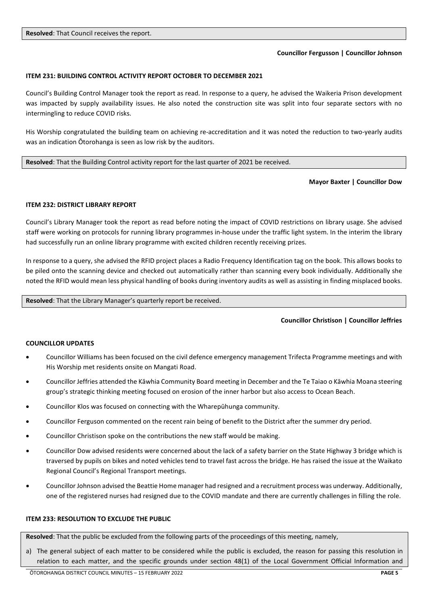#### **Councillor Fergusson | Councillor Johnson**

#### <span id="page-5-0"></span>**ITEM 231: BUILDING CONTROL ACTIVITY REPORT OCTOBER TO DECEMBER 2021**

Council's Building Control Manager took the report as read. In response to a query, he advised the Waikeria Prison development was impacted by supply availability issues. He also noted the construction site was split into four separate sectors with no intermingling to reduce COVID risks.

His Worship congratulated the building team on achieving re-accreditation and it was noted the reduction to two-yearly audits was an indication Ōtorohanga is seen as low risk by the auditors.

**Resolved**: That the Building Control activity report for the last quarter of 2021 be received.

#### **Mayor Baxter | Councillor Dow**

#### <span id="page-5-1"></span>**ITEM 232: DISTRICT LIBRARY REPORT**

Council's Library Manager took the report as read before noting the impact of COVID restrictions on library usage. She advised staff were working on protocols for running library programmes in-house under the traffic light system. In the interim the library had successfully run an online library programme with excited children recently receiving prizes.

In response to a query, she advised the RFID project places a Radio Frequency Identification tag on the book. This allows books to be piled onto the scanning device and checked out automatically rather than scanning every book individually. Additionally she noted the RFID would mean less physical handling of books during inventory audits as well as assisting in finding misplaced books.

**Resolved**: That the Library Manager's quarterly report be received.

#### **Councillor Christison | Councillor Jeffries**

#### <span id="page-5-2"></span>**COUNCILLOR UPDATES**

- Councillor Williams has been focused on the civil defence emergency management Trifecta Programme meetings and with His Worship met residents onsite on Mangati Road.
- Councillor Jeffries attended the Kāwhia Community Board meeting in December and the Te Taiao o Kāwhia Moana steering group's strategic thinking meeting focused on erosion of the inner harbor but also access to Ocean Beach.
- Councillor Klos was focused on connecting with the Wharepūhunga community.
- Councillor Ferguson commented on the recent rain being of benefit to the District after the summer dry period.
- Councillor Christison spoke on the contributions the new staff would be making.
- Councillor Dow advised residents were concerned about the lack of a safety barrier on the State Highway 3 bridge which is traversed by pupils on bikes and noted vehicles tend to travel fast across the bridge. He has raised the issue at the Waikato Regional Council's Regional Transport meetings.
- Councillor Johnson advised the Beattie Home manager had resigned and a recruitment process was underway. Additionally, one of the registered nurses had resigned due to the COVID mandate and there are currently challenges in filling the role.

#### <span id="page-5-3"></span>**ITEM 233: RESOLUTION TO EXCLUDE THE PUBLIC**

**Resolved**: That the public be excluded from the following parts of the proceedings of this meeting, namely,

a) The general subject of each matter to be considered while the public is excluded, the reason for passing this resolution in relation to each matter, and the specific grounds under section 48(1) of the Local Government Official Information and